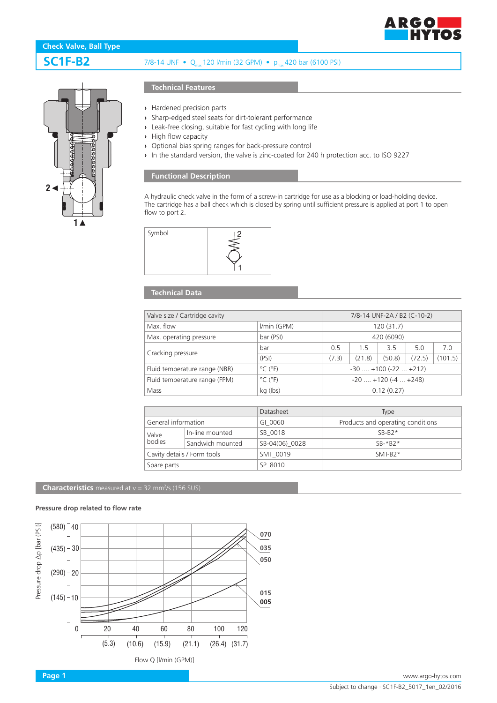

# **SC1F-B2** 7/8-14 UNF • Q<sub>max</sub> 120 l/min (32 GPM) • p<sub>max</sub> 420 bar (6100 PSI)



## **Technical Features**

- **›** Hardened precision parts
- **›** Sharp-edged steel seats for dirt-tolerant performance
- **›** Leak-free closing, suitable for fast cycling with long life
- **›** High flow capacity
- **›** Optional bias spring ranges for back-pressure control
- **›** In the standard version, the valve is zinc-coated for 240 h protection acc. to ISO 9227

### **Functional Description**

A hydraulic check valve in the form of a screw-in cartridge for use as a blocking or load-holding device. The cartridge has a ball check which is closed by spring until sufficient pressure is applied at port 1 to open flow to port 2.



### **Technical Data**

| Valve size / Cartridge cavity |                              |       | 7/8-14 UNF-2A / B2 (C-10-2)   |        |        |         |  |
|-------------------------------|------------------------------|-------|-------------------------------|--------|--------|---------|--|
| Max. flow                     | I/min (GPM)                  |       | 120(31.7)                     |        |        |         |  |
| Max. operating pressure       | bar (PSI)                    |       | 420 (6090)                    |        |        |         |  |
| Cracking pressure             | bar                          | 0.5   | 1.5                           | 35     | 5.0    | 7.0     |  |
|                               | (PSI)                        | (7.3) | (21.8)                        | (50.8) | (72.5) | (101.5) |  |
| Fluid temperature range (NBR) | $^{\circ}$ C ( $^{\circ}$ F) |       | $-30$ $+100$ ( $-22$ $+212$ ) |        |        |         |  |
| Fluid temperature range (FPM) | $^{\circ}$ C ( $^{\circ}$ F) |       | $-20$ $+120$ ( $-4$ $+248$ )  |        |        |         |  |
| Mass                          | kg (lbs)                     |       | 0.12(0.27)                    |        |        |         |  |

|                             |                  | Datasheet       | Type                              |
|-----------------------------|------------------|-----------------|-----------------------------------|
| General information         |                  | GI 0060         | Products and operating conditions |
| Valve<br>bodies             | In-line mounted  | SB 0018         | $SB-B2*$                          |
|                             | Sandwich mounted | SB-04(06) 0028  | $SR-*R2*$                         |
| Cavity details / Form tools |                  | <b>SMT 0019</b> | $SMT-B2*$                         |
| Spare parts                 |                  | SP 8010         |                                   |

**Characteristics** measured at  $v = 32$  mm<sup>2</sup>/s (156 SUS)

#### **Pressure drop related to flow rate**